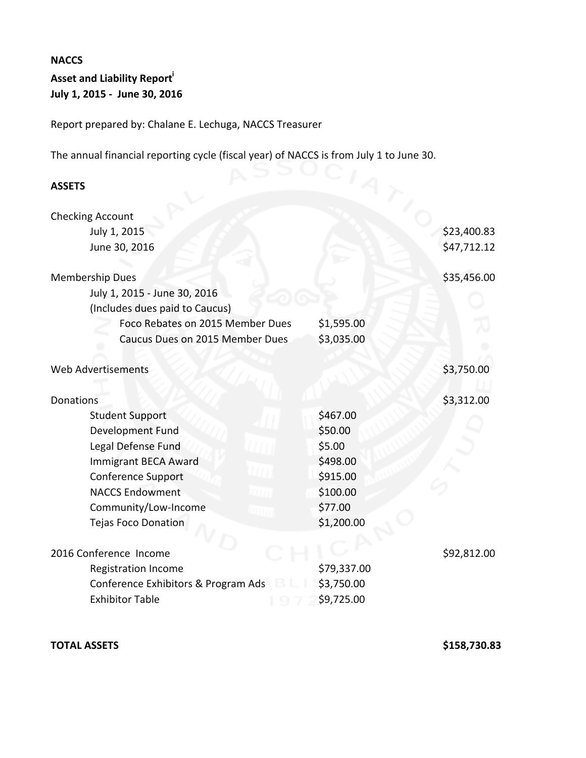## **NACCS**

# **Asset and Liability Report**<sup>i</sup> **July 1, 2015 - June 30, 2016**

Report prepared by: Chalane E. Lechuga, NACCS Treasurer

The annual financial reporting cycle (fiscal year) of NACCS is from July 1 to June 30.<br>
ASSETS

### **ASSETS**

|             | \$23,400.83 |
|-------------|-------------|
|             | \$47,712.12 |
|             |             |
|             | \$35,456.00 |
|             |             |
|             |             |
| \$1,595.00  |             |
| \$3,035.00  |             |
|             |             |
|             | \$3,750.00  |
|             |             |
|             | \$3,312.00  |
| \$467.00    |             |
| \$50.00     |             |
| \$5.00      |             |
| \$498.00    |             |
| \$915.00    |             |
| \$100.00    |             |
| \$77.00     |             |
| \$1,200.00  |             |
|             |             |
|             | \$92,812.00 |
| \$79,337.00 |             |
| \$3,750.00  |             |
| \$9,725.00  |             |
|             |             |

### **TOTAL ASSETS \$158,730.83**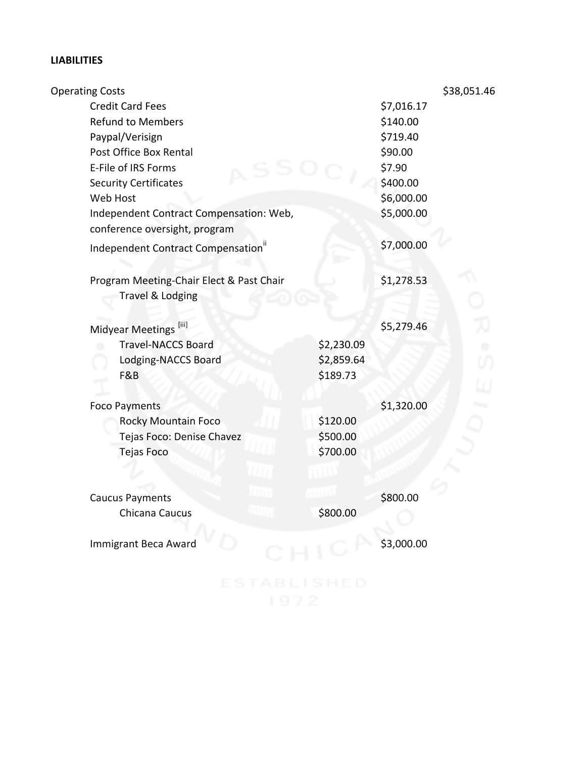# **LIABILITIES**

| <b>Operating Costs</b>                                                   |                        |            | \$38,051.46 |
|--------------------------------------------------------------------------|------------------------|------------|-------------|
| <b>Credit Card Fees</b>                                                  |                        | \$7,016.17 |             |
| <b>Refund to Members</b>                                                 |                        | \$140.00   |             |
| Paypal/Verisign                                                          |                        | \$719.40   |             |
| Post Office Box Rental                                                   |                        | \$90.00    |             |
| E-File of IRS Forms                                                      |                        | \$7.90     |             |
| <b>Security Certificates</b>                                             |                        | \$400.00   |             |
| Web Host                                                                 |                        | \$6,000.00 |             |
| Independent Contract Compensation: Web,<br>conference oversight, program |                        | \$5,000.00 |             |
| Independent Contract Compensation"                                       |                        | \$7,000.00 |             |
| Program Meeting-Chair Elect & Past Chair<br><b>Travel &amp; Lodging</b>  |                        | \$1,278.53 |             |
|                                                                          |                        |            |             |
| Midyear Meetings [iii]                                                   |                        | \$5,279.46 |             |
| <b>Travel-NACCS Board</b>                                                | \$2,230.09             |            |             |
| Lodging-NACCS Board<br>F&B                                               | \$2,859.64<br>\$189.73 |            |             |
| <b>Foco Payments</b>                                                     |                        | \$1,320.00 |             |
| <b>Rocky Mountain Foco</b>                                               | \$120.00               |            |             |
| Tejas Foco: Denise Chavez                                                | \$500.00               |            |             |
| <b>Tejas Foco</b>                                                        | \$700.00               |            |             |
|                                                                          |                        |            |             |
| <b>Caucus Payments</b>                                                   |                        | \$800.00   |             |
| Chicana Caucus                                                           | \$800.00               |            |             |
| Immigrant Beca Award                                                     |                        | \$3,000.00 |             |
|                                                                          |                        |            |             |